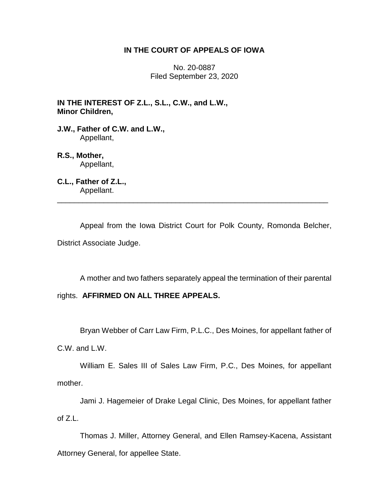# **IN THE COURT OF APPEALS OF IOWA**

No. 20-0887 Filed September 23, 2020

**IN THE INTEREST OF Z.L., S.L., C.W., and L.W., Minor Children,**

**J.W., Father of C.W. and L.W.,** Appellant,

**R.S., Mother,** Appellant,

**C.L., Father of Z.L.,** Appellant.

Appeal from the Iowa District Court for Polk County, Romonda Belcher, District Associate Judge.

\_\_\_\_\_\_\_\_\_\_\_\_\_\_\_\_\_\_\_\_\_\_\_\_\_\_\_\_\_\_\_\_\_\_\_\_\_\_\_\_\_\_\_\_\_\_\_\_\_\_\_\_\_\_\_\_\_\_\_\_\_\_\_\_

A mother and two fathers separately appeal the termination of their parental

# rights. **AFFIRMED ON ALL THREE APPEALS.**

Bryan Webber of Carr Law Firm, P.L.C., Des Moines, for appellant father of

C.W. and L.W.

William E. Sales III of Sales Law Firm, P.C., Des Moines, for appellant mother.

Jami J. Hagemeier of Drake Legal Clinic, Des Moines, for appellant father of Z.L.

Thomas J. Miller, Attorney General, and Ellen Ramsey-Kacena, Assistant Attorney General, for appellee State.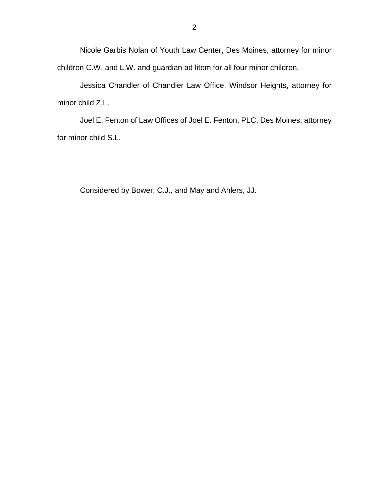Nicole Garbis Nolan of Youth Law Center, Des Moines, attorney for minor children C.W. and L.W. and guardian ad litem for all four minor children.

Jessica Chandler of Chandler Law Office, Windsor Heights, attorney for minor child Z.L.

Joel E. Fenton of Law Offices of Joel E. Fenton, PLC, Des Moines, attorney for minor child S.L.

Considered by Bower, C.J., and May and Ahlers, JJ.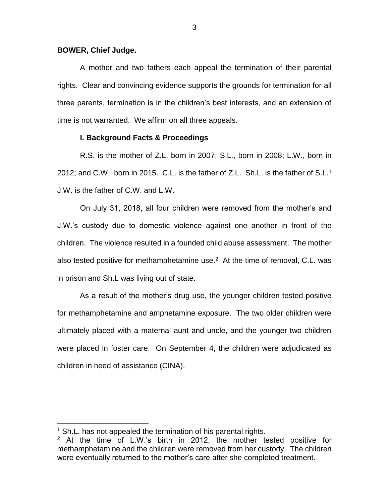### **BOWER, Chief Judge.**

A mother and two fathers each appeal the termination of their parental rights. Clear and convincing evidence supports the grounds for termination for all three parents, termination is in the children's best interests, and an extension of time is not warranted. We affirm on all three appeals.

## **I. Background Facts & Proceedings**

R.S. is the mother of Z.L, born in 2007; S.L., born in 2008; L.W., born in 2012; and C.W., born in 2015. C.L. is the father of Z.L. Sh.L. is the father of S.L.<sup>1</sup> J.W. is the father of C.W. and L.W.

On July 31, 2018, all four children were removed from the mother's and J.W.'s custody due to domestic violence against one another in front of the children. The violence resulted in a founded child abuse assessment. The mother also tested positive for methamphetamine use. $2$  At the time of removal, C.L. was in prison and Sh.L was living out of state.

As a result of the mother's drug use, the younger children tested positive for methamphetamine and amphetamine exposure. The two older children were ultimately placed with a maternal aunt and uncle, and the younger two children were placed in foster care. On September 4, the children were adjudicated as children in need of assistance (CINA).

 $\overline{a}$ 

 $1$  Sh.L. has not appealed the termination of his parental rights.

<sup>&</sup>lt;sup>2</sup> At the time of L.W.'s birth in 2012, the mother tested positive for methamphetamine and the children were removed from her custody. The children were eventually returned to the mother's care after she completed treatment.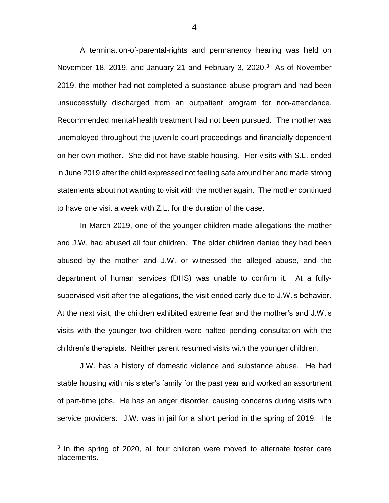A termination-of-parental-rights and permanency hearing was held on November 18, 2019, and January 21 and February 3, 2020.<sup>3</sup> As of November 2019, the mother had not completed a substance-abuse program and had been unsuccessfully discharged from an outpatient program for non-attendance. Recommended mental-health treatment had not been pursued. The mother was unemployed throughout the juvenile court proceedings and financially dependent on her own mother. She did not have stable housing. Her visits with S.L. ended in June 2019 after the child expressed not feeling safe around her and made strong statements about not wanting to visit with the mother again. The mother continued to have one visit a week with Z.L. for the duration of the case.

In March 2019, one of the younger children made allegations the mother and J.W. had abused all four children. The older children denied they had been abused by the mother and J.W. or witnessed the alleged abuse, and the department of human services (DHS) was unable to confirm it. At a fullysupervised visit after the allegations, the visit ended early due to J.W.'s behavior. At the next visit, the children exhibited extreme fear and the mother's and J.W.'s visits with the younger two children were halted pending consultation with the children's therapists. Neither parent resumed visits with the younger children.

J.W. has a history of domestic violence and substance abuse. He had stable housing with his sister's family for the past year and worked an assortment of part-time jobs. He has an anger disorder, causing concerns during visits with service providers. J.W. was in jail for a short period in the spring of 2019. He

 $\overline{a}$ 

<sup>&</sup>lt;sup>3</sup> In the spring of 2020, all four children were moved to alternate foster care placements.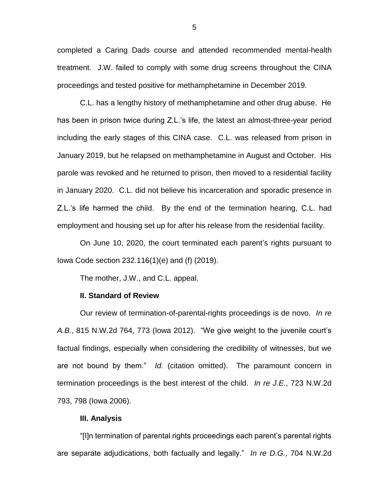completed a Caring Dads course and attended recommended mental-health treatment. J.W. failed to comply with some drug screens throughout the CINA proceedings and tested positive for methamphetamine in December 2019.

C.L. has a lengthy history of methamphetamine and other drug abuse. He has been in prison twice during Z.L.'s life, the latest an almost-three-year period including the early stages of this CINA case. C.L. was released from prison in January 2019, but he relapsed on methamphetamine in August and October. His parole was revoked and he returned to prison, then moved to a residential facility in January 2020. C.L. did not believe his incarceration and sporadic presence in Z.L.'s life harmed the child. By the end of the termination hearing, C.L. had employment and housing set up for after his release from the residential facility.

On June 10, 2020, the court terminated each parent's rights pursuant to Iowa Code section 232.116(1)(e) and (f) (2019).

The mother, J.W., and C.L. appeal.

#### **II. Standard of Review**

Our review of termination-of-parental-rights proceedings is de novo. *In re A.B.*, 815 N.W.2d 764, 773 (Iowa 2012). "We give weight to the juvenile court's factual findings, especially when considering the credibility of witnesses, but we are not bound by them." *Id.* (citation omitted). The paramount concern in termination proceedings is the best interest of the child. *In re J.E.*, 723 N.W.2d 793, 798 (Iowa 2006).

## **III. Analysis**

"[I]n termination of parental rights proceedings each parent's parental rights are separate adjudications, both factually and legally." *In re D.G.*, 704 N.W.2d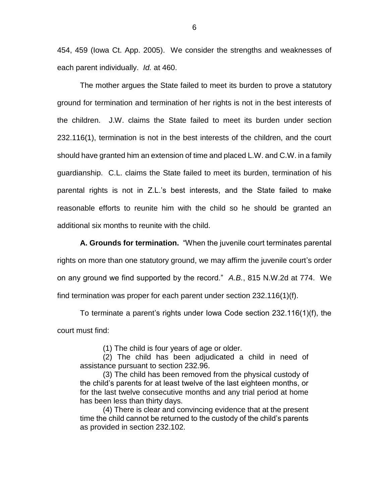454, 459 (Iowa Ct. App. 2005). We consider the strengths and weaknesses of each parent individually. *Id.* at 460.

The mother argues the State failed to meet its burden to prove a statutory ground for termination and termination of her rights is not in the best interests of the children. J.W. claims the State failed to meet its burden under section 232.116(1), termination is not in the best interests of the children, and the court should have granted him an extension of time and placed L.W. and C.W. in a family guardianship. C.L. claims the State failed to meet its burden, termination of his parental rights is not in Z.L.'s best interests, and the State failed to make reasonable efforts to reunite him with the child so he should be granted an additional six months to reunite with the child.

**A. Grounds for termination.** "When the juvenile court terminates parental rights on more than one statutory ground, we may affirm the juvenile court's order on any ground we find supported by the record." *A.B.*, 815 N.W.2d at 774. We find termination was proper for each parent under section 232.116(1)(f).

To terminate a parent's rights under Iowa Code section 232.116(1)(f), the court must find:

(1) The child is four years of age or older.

(2) The child has been adjudicated a child in need of assistance pursuant to section 232.96.

(3) The child has been removed from the physical custody of the child's parents for at least twelve of the last eighteen months, or for the last twelve consecutive months and any trial period at home has been less than thirty days.

(4) There is clear and convincing evidence that at the present time the child cannot be returned to the custody of the child's parents as provided in section 232.102.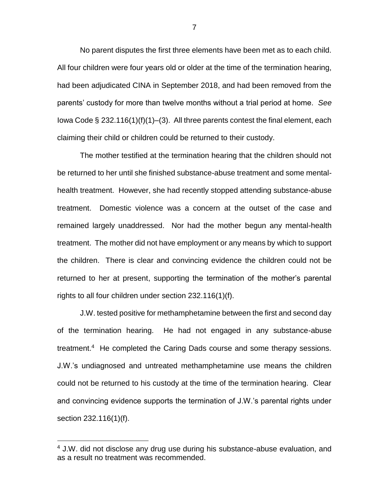No parent disputes the first three elements have been met as to each child. All four children were four years old or older at the time of the termination hearing, had been adjudicated CINA in September 2018, and had been removed from the parents' custody for more than twelve months without a trial period at home. *See*  Iowa Code § 232.116(1)(f)(1)–(3). All three parents contest the final element, each claiming their child or children could be returned to their custody.

The mother testified at the termination hearing that the children should not be returned to her until she finished substance-abuse treatment and some mentalhealth treatment. However, she had recently stopped attending substance-abuse treatment. Domestic violence was a concern at the outset of the case and remained largely unaddressed. Nor had the mother begun any mental-health treatment. The mother did not have employment or any means by which to support the children. There is clear and convincing evidence the children could not be returned to her at present, supporting the termination of the mother's parental rights to all four children under section 232.116(1)(f).

J.W. tested positive for methamphetamine between the first and second day of the termination hearing. He had not engaged in any substance-abuse treatment.<sup>4</sup> He completed the Caring Dads course and some therapy sessions. J.W.'s undiagnosed and untreated methamphetamine use means the children could not be returned to his custody at the time of the termination hearing. Clear and convincing evidence supports the termination of J.W.'s parental rights under section 232.116(1)(f).

 $\overline{a}$ 

<sup>&</sup>lt;sup>4</sup> J.W. did not disclose any drug use during his substance-abuse evaluation, and as a result no treatment was recommended.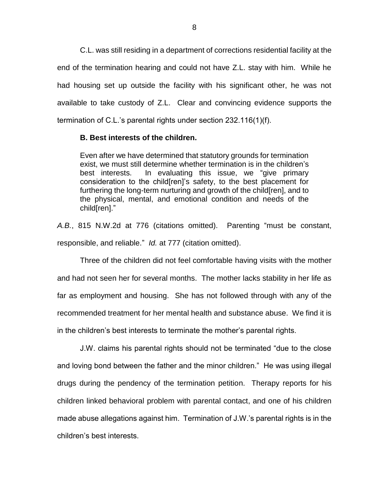C.L. was still residing in a department of corrections residential facility at the end of the termination hearing and could not have Z.L. stay with him. While he had housing set up outside the facility with his significant other, he was not available to take custody of Z.L. Clear and convincing evidence supports the termination of C.L.'s parental rights under section 232.116(1)(f).

## **B. Best interests of the children.**

Even after we have determined that statutory grounds for termination exist, we must still determine whether termination is in the children's best interests. In evaluating this issue, we "give primary consideration to the child[ren]'s safety, to the best placement for furthering the long-term nurturing and growth of the child[ren], and to the physical, mental, and emotional condition and needs of the child[ren]."

*A.B.*, 815 N.W.2d at 776 (citations omitted). Parenting "must be constant, responsible, and reliable." *Id.* at 777 (citation omitted).

Three of the children did not feel comfortable having visits with the mother and had not seen her for several months. The mother lacks stability in her life as far as employment and housing. She has not followed through with any of the recommended treatment for her mental health and substance abuse. We find it is in the children's best interests to terminate the mother's parental rights.

J.W. claims his parental rights should not be terminated "due to the close and loving bond between the father and the minor children." He was using illegal drugs during the pendency of the termination petition. Therapy reports for his children linked behavioral problem with parental contact, and one of his children made abuse allegations against him. Termination of J.W.'s parental rights is in the children's best interests.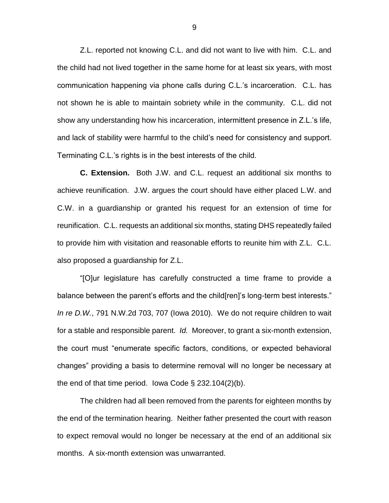Z.L. reported not knowing C.L. and did not want to live with him. C.L. and the child had not lived together in the same home for at least six years, with most communication happening via phone calls during C.L.'s incarceration. C.L. has not shown he is able to maintain sobriety while in the community. C.L. did not show any understanding how his incarceration, intermittent presence in Z.L.'s life, and lack of stability were harmful to the child's need for consistency and support. Terminating C.L.'s rights is in the best interests of the child.

**C. Extension.** Both J.W. and C.L. request an additional six months to achieve reunification. J.W. argues the court should have either placed L.W. and C.W. in a guardianship or granted his request for an extension of time for reunification. C.L. requests an additional six months, stating DHS repeatedly failed to provide him with visitation and reasonable efforts to reunite him with Z.L. C.L. also proposed a guardianship for Z.L.

"[O]ur legislature has carefully constructed a time frame to provide a balance between the parent's efforts and the child[ren]'s long-term best interests." *In re D.W.*, 791 N.W.2d 703, 707 (Iowa 2010). We do not require children to wait for a stable and responsible parent. *Id.* Moreover, to grant a six-month extension, the court must "enumerate specific factors, conditions, or expected behavioral changes" providing a basis to determine removal will no longer be necessary at the end of that time period. Iowa Code  $\S$  232.104(2)(b).

The children had all been removed from the parents for eighteen months by the end of the termination hearing. Neither father presented the court with reason to expect removal would no longer be necessary at the end of an additional six months. A six-month extension was unwarranted.